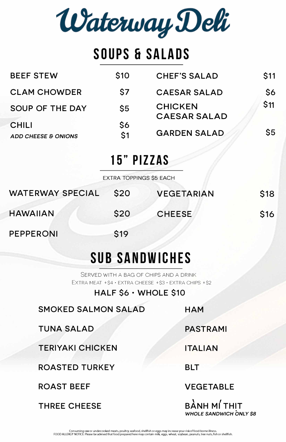Waterway Deli

# **SOUPS Ei SALADS**

SERVED WITH A BAG OF CHIPS AND A DRINK EXTRA MEAT + \$4 · EXTRA CHEESE + \$3 · EXTRA CHIPS + \$2

## **15" PIZZAS**

EXTRA TOPPINGS \$5 EACH

# **SUB SANDWICHES**

## **HALF \$6 · WHOLE \$10**

**SMOKED SALMON SALAD** 

## **TUNA SALAD**

PEPPERONI **\$19** 

| <b>BEEF STEW</b>                               | <b>S10</b>       | <b>CHEF'S SALAD</b>                   | <b>S11</b>     |
|------------------------------------------------|------------------|---------------------------------------|----------------|
| <b>CLAM CHOWDER</b>                            | S7               | <b>CAESAR SALAD</b>                   | S6             |
| <b>SOUP OF THE DAY</b>                         | $\mathsf{S}5$    | <b>CHICKEN</b><br><b>CAESAR SALAD</b> | <b>S11</b>     |
| <b>CHILI</b><br><b>ADD CHEESE &amp; ONIONS</b> | \$6<br><b>S1</b> | <b>GARDEN SALAD</b>                   | S <sub>5</sub> |

### **TERIYAKI CHICKEN**

### **ROASTED TURKEY**

#### **ROAST BEEF**

**HAM** 

**PASTRAMI** 

**ITALIAN** 

## **BLT**

**VEGETABLE** 

| <b>WATERWAY SPECIAL</b> | S20        | <b>VEGETARIAN</b> | <b>S18</b>      |
|-------------------------|------------|-------------------|-----------------|
| <b>HAWAIIAN</b>         | <b>S20</b> | <b>CHEESE</b>     | S <sub>16</sub> |



Consuming raw or undercooked meats, poultry, seafood, shellfish or eggs may increase your risk of food-borne illness. FOOD ALLERGY NOTICE: Please be advised that food prepared here may contain milk, eggs, wheat, soybean, peanuts, tree nuts, fish or shellfish.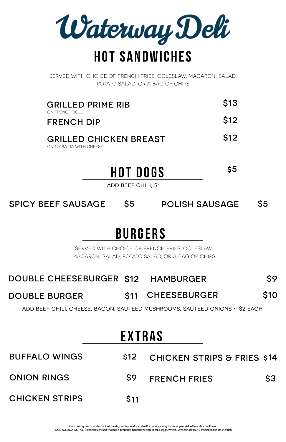

SERVED WITH CHOICE OF FRENCH FRIES, COLESLAW, MACARONI SALAD, POTATO SALAD, OR A BAG OF CHIPS

 $$5$  POLISH SAUSAGE  $$5$ **SPICY BEEF SAUSAGE** 

| <b>GRILLED PRIME RIB</b><br>ON FRENCH ROLL               | <b>S13</b>      |
|----------------------------------------------------------|-----------------|
| <b>FRENCH DIP</b>                                        | S <sub>12</sub> |
| <b>GRILLED CHICKEN BREAST</b><br>ON CIABATTA WITH CHEESE | <b>S12</b>      |

SERVED WITH CHOICE OF FRENCH FRIES, COLESLAW, MACARONI SALAD, POTATO SALAD, OR A BAG OF CHIPS

**HOT DOGS \$5** 

#### **DOUBLE CHEESEBURGER \$12 HAMBURGER \$11 \$10 \$9**

**DOUBLE BURGER S11 CHEESEBURGER** 

Consuming raw or undercooked meats, poultry, seafood, shellfish or eggs may increase your risk of food-borne illness. FOOD ALLERGY NOTICE: Please be advised that food prepared here may contain milk, eggs, wheat, soybean, peanuts, tree nuts, fish or shellfish.

ADD BEEF CHILI, CHEESE, BACON, SAUTEED MUSHROOMS, SAUTEED ONIONS· \$2 EACH

## **EXTRAS**

# **BUFFALO WINGS \$12 CHICKEN STRIPS & FRIES \$14 ONION RINGS \$9 FRENCH FRIES \$3 CHICKEN STRIPS \$11**

ADD BEEF CHILI, \$1

## **BURGERS**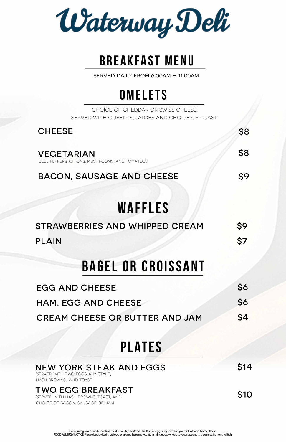Waterway Deli

# **BREAKFAST MENU**

**SERVED DAILY FROM 6:00AM - 11:00AM** 

# **OMELETS**

CHOICE OF CHEDDAR OR SWISS CHEESE SERVED WITH CUBED POTATOES AND CHOICE OF TOAST

## **PLATES**

## **NEW YORK STEAK AND EGGS**

| <b>CHEESE</b>                                                      | \$8 |
|--------------------------------------------------------------------|-----|
| <b>VEGETARIAN</b><br>BELL PEPPERS, ONIONS, MUSHROOMS, AND TOMATOES |     |
| <b>BACON, SAUSAGE AND CHEESE</b>                                   |     |
| <b>WAFFLES</b>                                                     |     |
| <b>STRAWBERRIES AND WHIPPED CREAM</b>                              | \$9 |
| <b>PLAIN</b>                                                       | \$7 |
| <b>BAGEL OR CROISSANT</b>                                          |     |
| <b>EGG AND CHEESE</b>                                              | \$6 |
| <b>HAM, EGG AND CHEESE</b>                                         |     |
| <b>CREAM CHEESE OR BUTTER AND JAM</b>                              | \$4 |

Consuming raw or undercooked meats, poultry, seafood, shellfish or eggs may increase your risk of food-borne illness. **FOOD ALLERGY NOTICE: Please be advised that food prepared here may contain milk, eggs, wheat, soybean, peanuts, tree nuts, fish or shellfish.** 

SERVED WITH TWO EGGS ANY STYLE,

HASH BROWNS, AND TOAST

## **TWO EGG BREAKFAST**

SERVED WITH HASH BROWNS, TOAST, AND CHOICE OF BACON, SAUSAGE OR HAM

**\$14**

**\$10**